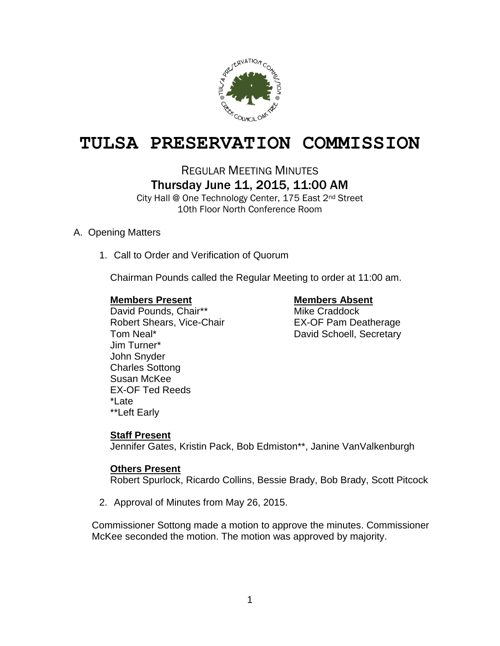

# **TULSA PRESERVATION COMMISSION**

REGULAR MEETING MINUTES

# Thursday June 11, 2015, 11:00 AM

City Hall @ One Technology Center, 175 East 2nd Street 10th Floor North Conference Room

# A. Opening Matters

1. Call to Order and Verification of Quorum

Chairman Pounds called the Regular Meeting to order at 11:00 am.

# **Members Present Members Absent**

David Pounds, Chair\*\* Mike Craddock Robert Shears, Vice-Chair **EX-OF Pam Deatherage** Tom Neal\* **David Schoell**, Secretary Jim Turner\* John Snyder Charles Sottong Susan McKee EX-OF Ted Reeds \*Late \*\*Left Early

# **Staff Present**

Jennifer Gates, Kristin Pack, Bob Edmiston\*\*, Janine VanValkenburgh

# **Others Present**

Robert Spurlock, Ricardo Collins, Bessie Brady, Bob Brady, Scott Pitcock

2. Approval of Minutes from May 26, 2015.

Commissioner Sottong made a motion to approve the minutes. Commissioner McKee seconded the motion. The motion was approved by majority.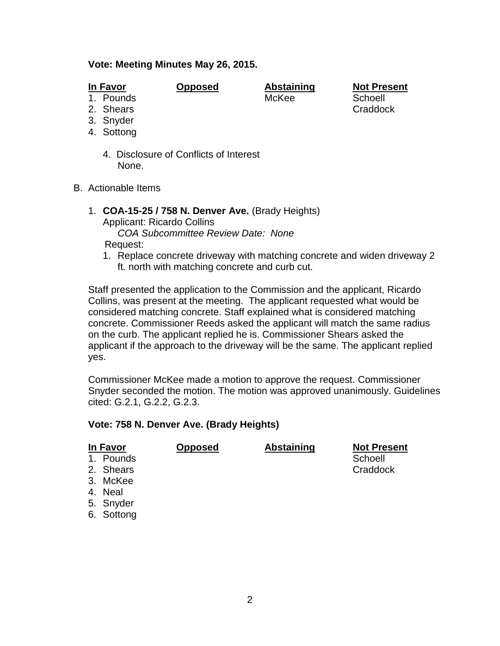## **Vote: Meeting Minutes May 26, 2015.**

- 
- 3. Snyder
- 4. Sottong
	- 4. Disclosure of Conflicts of Interest None.
- B. Actionable Items
	- 1. **COA-15-25 / 758 N. Denver Ave.** (Brady Heights) Applicant: Ricardo Collins *COA Subcommittee Review Date: None* Request:
		- 1. Replace concrete driveway with matching concrete and widen driveway 2 ft. north with matching concrete and curb cut.

Staff presented the application to the Commission and the applicant, Ricardo Collins, was present at the meeting. The applicant requested what would be considered matching concrete. Staff explained what is considered matching concrete. Commissioner Reeds asked the applicant will match the same radius on the curb. The applicant replied he is. Commissioner Shears asked the applicant if the approach to the driveway will be the same. The applicant replied yes.

Commissioner McKee made a motion to approve the request. Commissioner Snyder seconded the motion. The motion was approved unanimously. Guidelines cited: G.2.1, G.2.2, G.2.3.

# **Vote: 758 N. Denver Ave. (Brady Heights)**

| In Favor             | <b>Opposed</b> | <b>Abstaining</b> | <b>Not Present</b> |
|----------------------|----------------|-------------------|--------------------|
| 1. Pounds            |                |                   | Schoell            |
| 2. Shears            |                |                   | Craddock           |
| 3. McKee             |                |                   |                    |
| 4. Neal              |                |                   |                    |
| 5. Snyder            |                |                   |                    |
| $\sim$ $\sim$ $\sim$ |                |                   |                    |

6. Sottong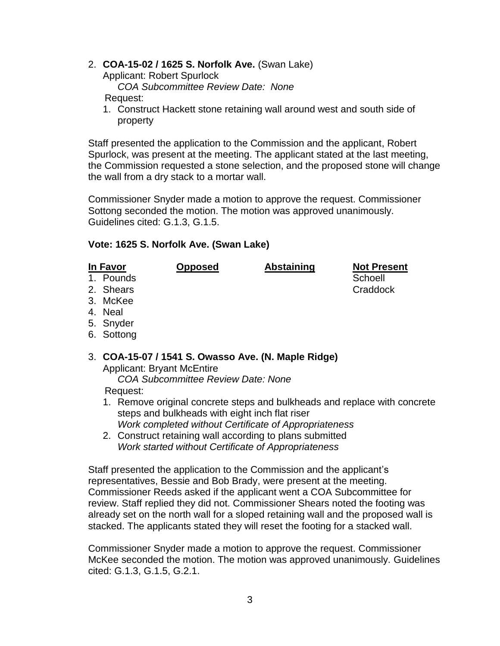# 2. **COA-15-02 / 1625 S. Norfolk Ave.** (Swan Lake)

Applicant: Robert Spurlock

*COA Subcommittee Review Date: None*

Request:

1. Construct Hackett stone retaining wall around west and south side of property

Staff presented the application to the Commission and the applicant, Robert Spurlock, was present at the meeting. The applicant stated at the last meeting, the Commission requested a stone selection, and the proposed stone will change the wall from a dry stack to a mortar wall.

Commissioner Snyder made a motion to approve the request. Commissioner Sottong seconded the motion. The motion was approved unanimously. Guidelines cited: G.1.3, G.1.5.

# **Vote: 1625 S. Norfolk Ave. (Swan Lake)**

| In Favor  | <b>Opposed</b> | <b>Abstaining</b> | <b>Not Present</b> |
|-----------|----------------|-------------------|--------------------|
| 1. Pounds |                |                   | Schoell            |
| 2. Shears |                |                   | Craddock           |

- 3. McKee
- 4. Neal
- 5. Snyder
- 6. Sottong

# 3. **COA-15-07 / 1541 S. Owasso Ave. (N. Maple Ridge)**

Applicant: Bryant McEntire *COA Subcommittee Review Date: None* Request:

- 1. Remove original concrete steps and bulkheads and replace with concrete steps and bulkheads with eight inch flat riser *Work completed without Certificate of Appropriateness*
- 2. Construct retaining wall according to plans submitted *Work started without Certificate of Appropriateness*

Staff presented the application to the Commission and the applicant's representatives, Bessie and Bob Brady, were present at the meeting. Commissioner Reeds asked if the applicant went a COA Subcommittee for review. Staff replied they did not. Commissioner Shears noted the footing was already set on the north wall for a sloped retaining wall and the proposed wall is stacked. The applicants stated they will reset the footing for a stacked wall.

Commissioner Snyder made a motion to approve the request. Commissioner McKee seconded the motion. The motion was approved unanimously. Guidelines cited: G.1.3, G.1.5, G.2.1.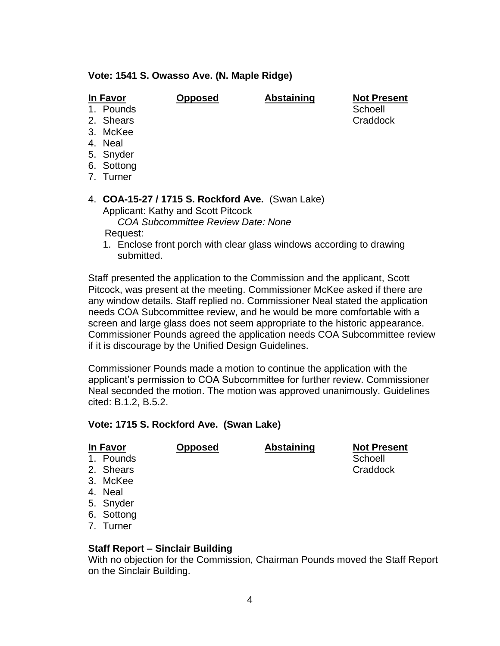### **Vote: 1541 S. Owasso Ave. (N. Maple Ridge)**

**In Favor Opposed Abstaining Not Present** 1. Pounds Schoell and Schoell and Schoell and Schoell and Schoell and Schoell and Schoell and Schoell and Schoell

- 2. Shears **Craddock**
- 3. McKee
- 
- 4. Neal
- 5. Snyder
- 6. Sottong
- 7. Turner

### 4. **COA-15-27 / 1715 S. Rockford Ave.** (Swan Lake) Applicant: Kathy and Scott Pitcock *COA Subcommittee Review Date: None*

Request:

1. Enclose front porch with clear glass windows according to drawing submitted.

Staff presented the application to the Commission and the applicant, Scott Pitcock, was present at the meeting. Commissioner McKee asked if there are any window details. Staff replied no. Commissioner Neal stated the application needs COA Subcommittee review, and he would be more comfortable with a screen and large glass does not seem appropriate to the historic appearance. Commissioner Pounds agreed the application needs COA Subcommittee review if it is discourage by the Unified Design Guidelines.

Commissioner Pounds made a motion to continue the application with the applicant's permission to COA Subcommittee for further review. Commissioner Neal seconded the motion. The motion was approved unanimously. Guidelines cited: B.1.2, B.5.2.

# **Vote: 1715 S. Rockford Ave. (Swan Lake)**

| In Favor   | <b>Opposed</b> | <b>Abstaining</b> | <b>Not Present</b> |
|------------|----------------|-------------------|--------------------|
| 1. Pounds  |                |                   | Schoell            |
| 2. Shears  |                |                   | Craddock           |
| 3. McKee   |                |                   |                    |
| 4. Neal    |                |                   |                    |
| 5. Snyder  |                |                   |                    |
| 6. Sottong |                |                   |                    |

7. Turner

# **Staff Report – Sinclair Building**

With no objection for the Commission, Chairman Pounds moved the Staff Report on the Sinclair Building.